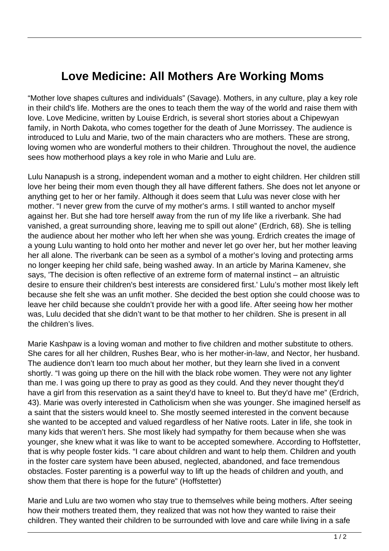## **Love Medicine: All Mothers Are Working Moms**

"Mother love shapes cultures and individuals" (Savage). Mothers, in any culture, play a key role in their child's life. Mothers are the ones to teach them the way of the world and raise them with love. Love Medicine, written by Louise Erdrich, is several short stories about a Chipewyan family, in North Dakota, who comes together for the death of June Morrissey. The audience is introduced to Lulu and Marie, two of the main characters who are mothers. These are strong, loving women who are wonderful mothers to their children. Throughout the novel, the audience sees how motherhood plays a key role in who Marie and Lulu are.

Lulu Nanapush is a strong, independent woman and a mother to eight children. Her children still love her being their mom even though they all have different fathers. She does not let anyone or anything get to her or her family. Although it does seem that Lulu was never close with her mother. "I never grew from the curve of my mother's arms. I still wanted to anchor myself against her. But she had tore herself away from the run of my life like a riverbank. She had vanished, a great surrounding shore, leaving me to spill out alone" (Erdrich, 68). She is telling the audience about her mother who left her when she was young. Erdrich creates the image of a young Lulu wanting to hold onto her mother and never let go over her, but her mother leaving her all alone. The riverbank can be seen as a symbol of a mother's loving and protecting arms no longer keeping her child safe, being washed away. In an article by Marina Kamenev, she says, 'The decision is often reflective of an extreme form of maternal instinct – an altruistic desire to ensure their children's best interests are considered first.' Lulu's mother most likely left because she felt she was an unfit mother. She decided the best option she could choose was to leave her child because she couldn't provide her with a good life. After seeing how her mother was, Lulu decided that she didn't want to be that mother to her children. She is present in all the children's lives.

Marie Kashpaw is a loving woman and mother to five children and mother substitute to others. She cares for all her children, Rushes Bear, who is her mother-in-law, and Nector, her husband. The audience don't learn too much about her mother, but they learn she lived in a convent shortly. "I was going up there on the hill with the black robe women. They were not any lighter than me. I was going up there to pray as good as they could. And they never thought they'd have a girl from this reservation as a saint they'd have to kneel to. But they'd have me" (Erdrich, 43). Marie was overly interested in Catholicism when she was younger. She imagined herself as a saint that the sisters would kneel to. She mostly seemed interested in the convent because she wanted to be accepted and valued regardless of her Native roots. Later in life, she took in many kids that weren't hers. She most likely had sympathy for them because when she was younger, she knew what it was like to want to be accepted somewhere. According to Hoffstetter, that is why people foster kids. "I care about children and want to help them. Children and youth in the foster care system have been abused, neglected, abandoned, and face tremendous obstacles. Foster parenting is a powerful way to lift up the heads of children and youth, and show them that there is hope for the future" (Hoffstetter)

Marie and Lulu are two women who stay true to themselves while being mothers. After seeing how their mothers treated them, they realized that was not how they wanted to raise their children. They wanted their children to be surrounded with love and care while living in a safe